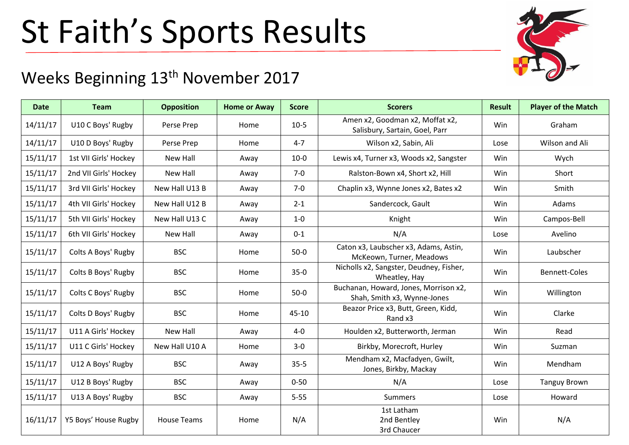## St Faith's Sports Results



## Weeks Beginning 13<sup>th</sup> November 2017

| <b>Date</b> | <b>Team</b>           | <b>Opposition</b>  | <b>Home or Away</b> | <b>Score</b> | <b>Scorers</b>                                                       | <b>Result</b> | <b>Player of the Match</b> |
|-------------|-----------------------|--------------------|---------------------|--------------|----------------------------------------------------------------------|---------------|----------------------------|
| 14/11/17    | U10 C Boys' Rugby     | Perse Prep         | Home                | $10-5$       | Amen x2, Goodman x2, Moffat x2,<br>Salisbury, Sartain, Goel, Parr    | <b>Win</b>    | Graham                     |
| 14/11/17    | U10 D Boys' Rugby     | Perse Prep         | Home                | $4 - 7$      | Wilson x2, Sabin, Ali                                                | Lose          | Wilson and Ali             |
| 15/11/17    | 1st VII Girls' Hockey | New Hall           | Away                | $10 - 0$     | Lewis x4, Turner x3, Woods x2, Sangster                              | Win           | Wych                       |
| 15/11/17    | 2nd VII Girls' Hockey | New Hall           | Away                | $7 - 0$      | Ralston-Bown x4, Short x2, Hill                                      | <b>Win</b>    | Short                      |
| 15/11/17    | 3rd VII Girls' Hockey | New Hall U13 B     | Away                | $7-0$        | Chaplin x3, Wynne Jones x2, Bates x2                                 | Win           | Smith                      |
| 15/11/17    | 4th VII Girls' Hockey | New Hall U12 B     | Away                | $2 - 1$      | Sandercock, Gault                                                    | <b>Win</b>    | Adams                      |
| 15/11/17    | 5th VII Girls' Hockey | New Hall U13 C     | Away                | $1-0$        | Knight                                                               | Win           | Campos-Bell                |
| 15/11/17    | 6th VII Girls' Hockey | New Hall           | Away                | $0 - 1$      | N/A                                                                  | Lose          | Avelino                    |
| 15/11/17    | Colts A Boys' Rugby   | <b>BSC</b>         | Home                | $50-0$       | Caton x3, Laubscher x3, Adams, Astin,<br>McKeown, Turner, Meadows    | Win           | Laubscher                  |
| 15/11/17    | Colts B Boys' Rugby   | <b>BSC</b>         | Home                | $35-0$       | Nicholls x2, Sangster, Deudney, Fisher,<br>Wheatley, Hay             | Win           | Bennett-Coles              |
| 15/11/17    | Colts C Boys' Rugby   | <b>BSC</b>         | Home                | $50-0$       | Buchanan, Howard, Jones, Morrison x2,<br>Shah, Smith x3, Wynne-Jones | Win           | Willington                 |
| 15/11/17    | Colts D Boys' Rugby   | <b>BSC</b>         | Home                | 45-10        | Beazor Price x3, Butt, Green, Kidd,<br>Rand x3                       | Win           | Clarke                     |
| 15/11/17    | U11 A Girls' Hockey   | New Hall           | Away                | $4 - 0$      | Houlden x2, Butterworth, Jerman                                      | Win           | Read                       |
| 15/11/17    | U11 C Girls' Hockey   | New Hall U10 A     | Home                | $3-0$        | Birkby, Morecroft, Hurley                                            | Win           | Suzman                     |
| 15/11/17    | U12 A Boys' Rugby     | <b>BSC</b>         | Away                | $35 - 5$     | Mendham x2, Macfadyen, Gwilt,<br>Jones, Birkby, Mackay               | Win           | Mendham                    |
| 15/11/17    | U12 B Boys' Rugby     | <b>BSC</b>         | Away                | $0 - 50$     | N/A                                                                  | Lose          | <b>Tanguy Brown</b>        |
| 15/11/17    | U13 A Boys' Rugby     | <b>BSC</b>         | Away                | $5 - 55$     | Summers                                                              | Lose          | Howard                     |
| 16/11/17    | Y5 Boys' House Rugby  | <b>House Teams</b> | Home                | N/A          | 1st Latham<br>2nd Bentley<br>3rd Chaucer                             | Win           | N/A                        |